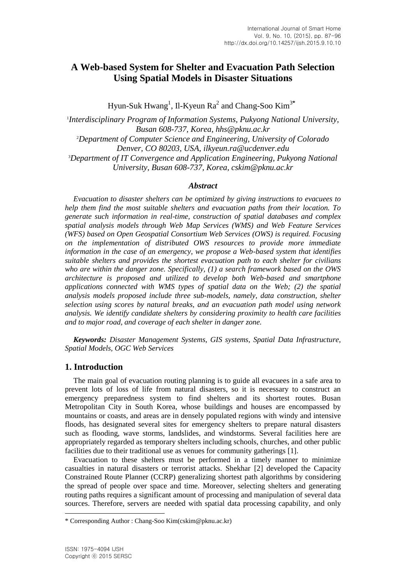# **A Web-based System for Shelter and Evacuation Path Selection Using Spatial Models in Disaster Situations**

Hyun-Suk Hwang<sup>1</sup>, Il-Kyeun Ra<sup>2</sup> and Chang-Soo Kim<sup>3\*</sup>

1 *Interdisciplinary Program of Information Systems, Pukyong National University, Busan 608-737, Korea, hhs@pknu.ac.kr* <sup>2</sup>*Department of Computer Science and Engineering, University of Colorado Denver, CO 80203, USA, ilkyeun.ra@ucdenver.edu* <sup>3</sup>*Department of IT Convergence and Application Engineering, Pukyong National University, Busan 608-737, Korea, cskim@pknu.ac.kr*

#### *Abstract*

*Evacuation to disaster shelters can be optimized by giving instructions to evacuees to help them find the most suitable shelters and evacuation paths from their location. To generate such information in real-time, construction of spatial databases and complex spatial analysis models through Web Map Services (WMS) and Web Feature Services (WFS) based on Open Geospatial Consortium Web Services (OWS) is required. Focusing on the implementation of distributed OWS resources to provide more immediate information in the case of an emergency, we propose a Web-based system that identifies suitable shelters and provides the shortest evacuation path to each shelter for civilians who are within the danger zone. Specifically, (1) a search framework based on the OWS architecture is proposed and utilized to develop both Web-based and smartphone applications connected with WMS types of spatial data on the Web; (2) the spatial analysis models proposed include three sub-models, namely, data construction, shelter selection using scores by natural breaks, and an evacuation path model using network analysis. We identify candidate shelters by considering proximity to health care facilities and to major road, and coverage of each shelter in danger zone.*

*Keywords: Disaster Management Systems, GIS systems, Spatial Data Infrastructure, Spatial Models, OGC Web Services*

#### **1. Introduction**

The main goal of evacuation routing planning is to guide all evacuees in a safe area to prevent lots of loss of life from natural disasters, so it is necessary to construct an emergency preparedness system to find shelters and its shortest routes. Busan Metropolitan City in South Korea, whose buildings and houses are encompassed by mountains or coasts, and areas are in densely populated regions with windy and intensive floods, has designated several sites for emergency shelters to prepare natural disasters such as flooding, wave storms, landslides, and windstorms. Several facilities here are appropriately regarded as temporary shelters including schools, churches, and other public facilities due to their traditional use as venues for community gatherings [1].

Evacuation to these shelters must be performed in a timely manner to minimize casualties in natural disasters or terrorist attacks. Shekhar [2] developed the Capacity Constrained Route Planner (CCRP) generalizing shortest path algorithms by considering the spread of people over space and time. Moreover, selecting shelters and generating routing paths requires a significant amount of processing and manipulation of several data sources. Therefore, servers are needed with spatial data processing capability, and only

l

<sup>\*</sup> Corresponding Author : Chang-Soo Kim(cskim@pknu.ac.kr)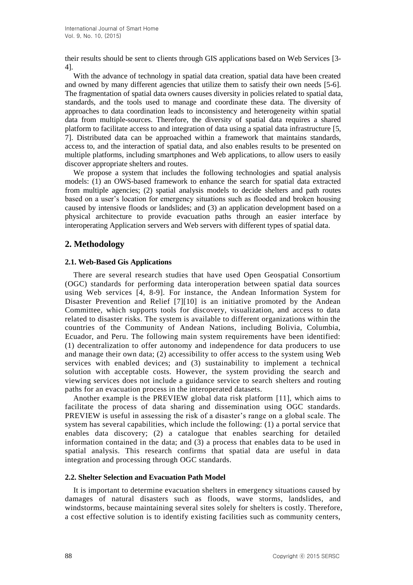their results should be sent to clients through GIS applications based on Web Services [3- 4].

With the advance of technology in spatial data creation, spatial data have been created and owned by many different agencies that utilize them to satisfy their own needs [5-6]. The fragmentation of spatial data owners causes diversity in policies related to spatial data, standards, and the tools used to manage and coordinate these data. The diversity of approaches to data coordination leads to inconsistency and heterogeneity within spatial data from multiple-sources. Therefore, the diversity of spatial data requires a shared platform to facilitate access to and integration of data using a spatial data infrastructure [5, 7]. Distributed data can be approached within a framework that maintains standards, access to, and the interaction of spatial data, and also enables results to be presented on multiple platforms, including smartphones and Web applications, to allow users to easily discover appropriate shelters and routes.

We propose a system that includes the following technologies and spatial analysis models: (1) an OWS-based framework to enhance the search for spatial data extracted from multiple agencies; (2) spatial analysis models to decide shelters and path routes based on a user's location for emergency situations such as flooded and broken housing caused by intensive floods or landslides; and (3) an application development based on a physical architecture to provide evacuation paths through an easier interface by interoperating Application servers and Web servers with different types of spatial data.

## **2. Methodology**

### **2.1. Web-Based Gis Applications**

There are several research studies that have used Open Geospatial Consortium (OGC) standards for performing data interoperation between spatial data sources using Web services [4, 8-9]. For instance, the Andean Information System for Disaster Prevention and Relief [7][10] is an initiative promoted by the Andean Committee, which supports tools for discovery, visualization, and access to data related to disaster risks. The system is available to different organizations within the countries of the Community of Andean Nations, including Bolivia, Columbia, Ecuador, and Peru. The following main system requirements have been identified: (1) decentralization to offer autonomy and independence for data producers to use and manage their own data; (2) accessibility to offer access to the system using Web services with enabled devices; and (3) sustainability to implement a technical solution with acceptable costs. However, the system providing the search and viewing services does not include a guidance service to search shelters and routing paths for an evacuation process in the interoperated datasets.

Another example is the PREVIEW global data risk platform [11], which aims to facilitate the process of data sharing and dissemination using OGC standards. PREVIEW is useful in assessing the risk of a disaster's range on a global scale. The system has several capabilities, which include the following: (1) a portal service that enables data discovery; (2) a catalogue that enables searching for detailed information contained in the data; and (3) a process that enables data to be used in spatial analysis. This research confirms that spatial data are useful in data integration and processing through OGC standards.

#### **2.2. Shelter Selection and Evacuation Path Model**

It is important to determine evacuation shelters in emergency situations caused by damages of natural disasters such as floods, wave storms, landslides, and windstorms, because maintaining several sites solely for shelters is costly. Therefore, a cost effective solution is to identify existing facilities such as community centers,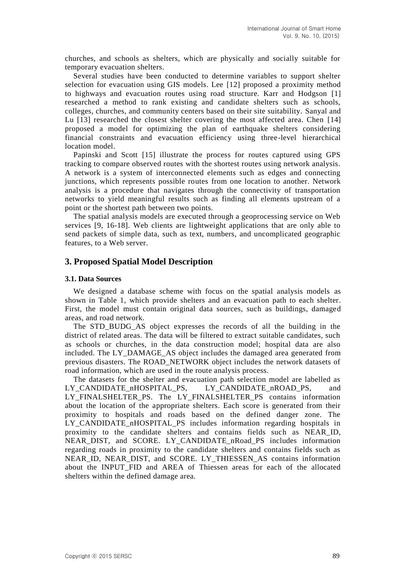churches, and schools as shelters, which are physically and socially suitable for temporary evacuation shelters.

Several studies have been conducted to determine variables to support shelter selection for evacuation using GIS models. Lee [12] proposed a proximity method to highways and evacuation routes using road structure. Karr and Hodgson [1] researched a method to rank existing and candidate shelters such as schools, colleges, churches, and community centers based on their site suitability. Sanyal and Lu [13] researched the closest shelter covering the most affected area. Chen [14] proposed a model for optimizing the plan of earthquake shelters considering financial constraints and evacuation efficiency using three-level hierarchical location model.

Papinski and Scott [15] illustrate the process for routes captured using GPS tracking to compare observed routes with the shortest routes using network analysis. A network is a system of interconnected elements such as edges and connecting junctions, which represents possible routes from one location to another. Network analysis is a procedure that navigates through the connectivity of transportation networks to yield meaningful results such as finding all elements upstream of a point or the shortest path between two points.

The spatial analysis models are executed through a geoprocessing service on Web services [9, 16-18]. Web clients are lightweight applications that are only able to send packets of simple data, such as text, numbers, and uncomplicated geographic features, to a Web server.

### **3. Proposed Spatial Model Description**

#### **3.1. Data Sources**

We designed a database scheme with focus on the spatial analysis models as shown in Table 1, which provide shelters and an evacuation path to each shelter. First, the model must contain original data sources, such as buildings, damaged areas, and road network.

The STD\_BUDG\_AS object expresses the records of all the building in the district of related areas. The data will be filtered to extract suitable candidates, such as schools or churches, in the data construction model; hospital data are also included. The LY\_DAMAGE\_AS object includes the damaged area generated from previous disasters. The ROAD\_NETWORK object includes the network datasets of road information, which are used in the route analysis process.

The datasets for the shelter and evacuation path selection model are labelled as LY\_CANDIDATE\_nHOSPITAL\_PS, LY\_CANDIDATE\_nROAD\_PS, and LY\_FINALSHELTER\_PS. The LY\_FINALSHELTER\_PS contains information about the location of the appropriate shelters. Each score is generated from their proximity to hospitals and roads based on the defined danger zone. The LY CANDIDATE nHOSPITAL PS includes information regarding hospitals in proximity to the candidate shelters and contains fields such as NEAR\_ID, NEAR\_DIST, and SCORE. LY\_CANDIDATE\_nRoad\_PS includes information regarding roads in proximity to the candidate shelters and contains fields such as NEAR\_ID, NEAR\_DIST, and SCORE. LY\_THIESSEN\_AS contains information about the INPUT\_FID and AREA of Thiessen areas for each of the allocated shelters within the defined damage area.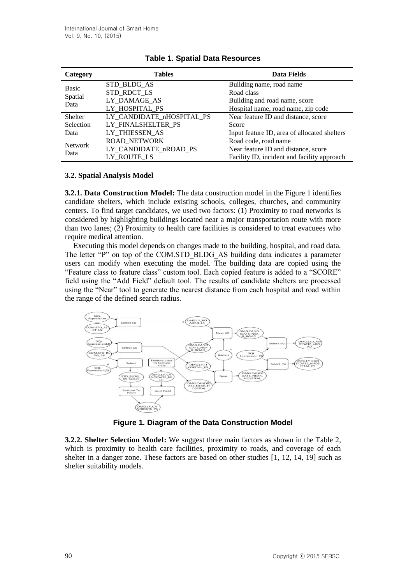| Category                        | <b>Tables</b>             | Data Fields                                  |
|---------------------------------|---------------------------|----------------------------------------------|
| <b>Basic</b><br>Spatial<br>Data | STD BLDG AS               | Building name, road name                     |
|                                 | STD_RDCT_LS               | Road class                                   |
|                                 | LY DAMAGE_AS              | Building and road name, score                |
|                                 | LY HOSPITAL PS            | Hospital name, road name, zip code           |
| Shelter                         | LY CANDIDATE nHOSPITAL PS | Near feature ID and distance, score          |
| Selection                       | LY FINALSHELTER PS        | Score                                        |
| Data                            | LY THIESSEN AS            | Input feature ID, area of allocated shelters |
| <b>Network</b><br>Data          | <b>ROAD NETWORK</b>       | Road code, road name                         |
|                                 | LY CANDIDATE nROAD PS     | Near feature ID and distance, score          |
|                                 | LY ROUTE LS               | Facility ID, incident and facility approach  |

### **Table 1. Spatial Data Resources**

### **3.2. Spatial Analysis Model**

**3.2.1. Data Construction Model:** The data construction model in the Figure 1 identifies candidate shelters, which include existing schools, colleges, churches, and community centers. To find target candidates, we used two factors: (1) Proximity to road networks is considered by highlighting buildings located near a major transportation route with more than two lanes; (2) Proximity to health care facilities is considered to treat evacuees who require medical attention.

Executing this model depends on changes made to the building, hospital, and road data. The letter "P" on top of the COM.STD\_BLDG\_AS building data indicates a parameter users can modify when executing the model. The building data are copied using the "Feature class to feature class" custom tool. Each copied feature is added to a "SCORE" field using the "Add Field" default tool. The results of candidate shelters are processed using the "Near" tool to generate the nearest distance from each hospital and road within the range of the defined search radius.



**Figure 1. Diagram of the Data Construction Model**

**3.2.2. Shelter Selection Model:** We suggest three main factors as shown in the Table 2, which is proximity to health care facilities, proximity to roads, and coverage of each shelter in a danger zone. These factors are based on other studies [1, 12, 14, 19] such as shelter suitability models.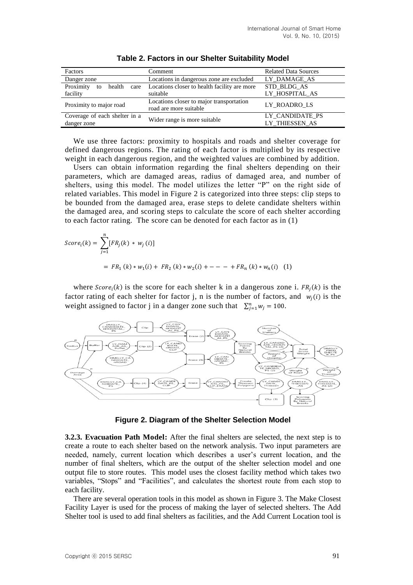| Factors                           | Comment                                      | <b>Related Data Sources</b> |  |
|-----------------------------------|----------------------------------------------|-----------------------------|--|
| Danger zone                       | Locations in dangerous zone are excluded     | LY DAMAGE AS                |  |
| Proximity<br>health<br>care<br>to | Locations closer to health facility are more | STD BLDG AS                 |  |
| facility                          | suitable                                     | LY HOSPITAL AS              |  |
| Proximity to major road           | Locations closer to major transportation     | LY ROADRO LS                |  |
|                                   | road are more suitable                       |                             |  |
| Coverage of each shelter in a     | Wider range is more suitable                 | LY CANDIDATE PS             |  |
| danger zone                       |                                              | LY THIESSEN AS              |  |

**Table 2. Factors in our Shelter Suitability Model**

We use three factors: proximity to hospitals and roads and shelter coverage for defined dangerous regions. The rating of each factor is multiplied by its respective weight in each dangerous region, and the weighted values are combined by addition.

Users can obtain information regarding the final shelters depending on their parameters, which are damaged areas, radius of damaged area, and number of shelters, using this model. The model utilizes the letter "P" on the right side of related variables. This model in Figure 2 is categorized into three steps: clip steps to be bounded from the damaged area, erase steps to delete candidate shelters within the damaged area, and scoring steps to calculate the score of each shelter according to each factor rating. The score can be denoted for each factor as in (1)

$$
Score_i(k) = \sum_{j=1}^{n} [FR_j(k) * w_j(i)]
$$
  
=  $FR_1(k) * w_1(i) + FR_2(k) * w_2(i) + --- + FR_n(k) * w_n(i)$  (1)

where  $Score_i(k)$  is the score for each shelter k in a dangerous zone i.  $FR_j(k)$  is the factor rating of each shelter for factor j, n is the number of factors, and  $w_i(i)$  is the weight assigned to factor j in a danger zone such that  $\sum_{j=1}^{n} w_j = 100$ .



**Figure 2. Diagram of the Shelter Selection Model**

**3.2.3. Evacuation Path Model:** After the final shelters are selected, the next step is to create a route to each shelter based on the network analysis. Two input parameters are needed, namely, current location which describes a user's current location, and the number of final shelters, which are the output of the shelter selection model and one output file to store routes. This model uses the closest facility method which takes two variables, "Stops" and "Facilities", and calculates the shortest route from each stop to each facility.

There are several operation tools in this model as shown in Figure 3. The Make Closest Facility Layer is used for the process of making the layer of selected shelters. The Add Shelter tool is used to add final shelters as facilities, and the Add Current Location tool is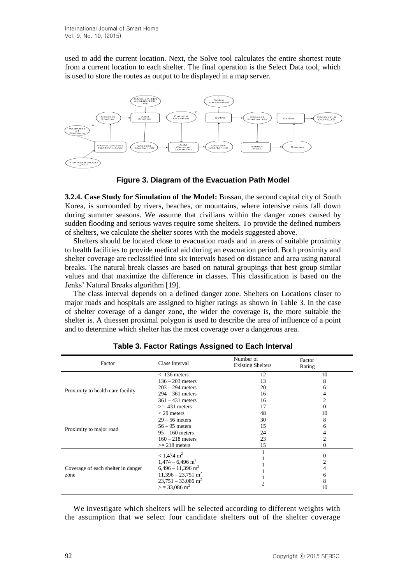used to add the current location. Next, the Solve tool calculates the entire shortest route from a current location to each shelter. The final operation is the Select Data tool, which is used to store the routes as output to be displayed in a map server.



**Figure 3. Diagram of the Evacuation Path Model**

**3.2.4. Case Study for Simulation of the Model:** Bussan, the second capital city of South Korea, is surrounded by rivers, beaches, or mountains, where intensive rains fall down during summer seasons. We assume that civilians within the danger zones caused by sudden flooding and serious waves require some shelters. To provide the defined numbers of shelters, we calculate the shelter scores with the models suggested above.

Shelters should be located close to evacuation roads and in areas of suitable proximity to health facilities to provide medical aid during an evacuation period. Both proximity and shelter coverage are reclassified into six intervals based on distance and area using natural breaks. The natural break classes are based on natural groupings that best group similar values and that maximize the difference in classes. This classification is based on the Jenks' Natural Breaks algorithm [19].

The class interval depends on a defined danger zone. Shelters on Locations closer to major roads and hospitals are assigned to higher ratings as shown in Table 3. In the case of shelter coverage of a danger zone, the wider the coverage is, the more suitable the shelter is. A thiessen proximal polygon is used to describe the area of influence of a point and to determine which shelter has the most coverage over a dangerous area.

| Factor                                     | Class Interval                                                                                                                                                                                    | Number of<br><b>Existing Shelters</b>  | Factor<br>Rating                 |
|--------------------------------------------|---------------------------------------------------------------------------------------------------------------------------------------------------------------------------------------------------|----------------------------------------|----------------------------------|
| Proximity to health care facility          | $< 136$ meters<br>$136 - 203$ meters<br>$203 - 294$ meters<br>$294 - 361$ meters<br>$361 - 431$ meters                                                                                            | 12<br>13<br>20<br>16<br>16             | 10<br>8<br>h                     |
| Proximity to major road                    | $\geq$ 431 meters<br>$<$ 29 meters<br>$29 - 56$ meters<br>$56 - 95$ meters<br>$95 - 160$ meters<br>$160 - 218$ meters<br>$>= 218$ meters                                                          | 17<br>48<br>30<br>15<br>24<br>23<br>15 | 0<br>10<br>8<br>6<br>4<br>2<br>0 |
| Coverage of each shelter in danger<br>zone | $< 1,474 \text{ m}^2$<br>$1,474 - 6,496$ m <sup>2</sup><br>$6,496 - 11,396$ m <sup>2</sup><br>$11,396 - 23,751$ m <sup>2</sup><br>$23,751 - 33,086$ m <sup>2</sup><br>$>$ = 33,086 m <sup>2</sup> |                                        | $\Omega$<br>O<br>8<br>10         |

**Table 3. Factor Ratings Assigned to Each Interval**

We investigate which shelters will be selected according to different weights with the assumption that we select four candidate shelters out of the shelter coverage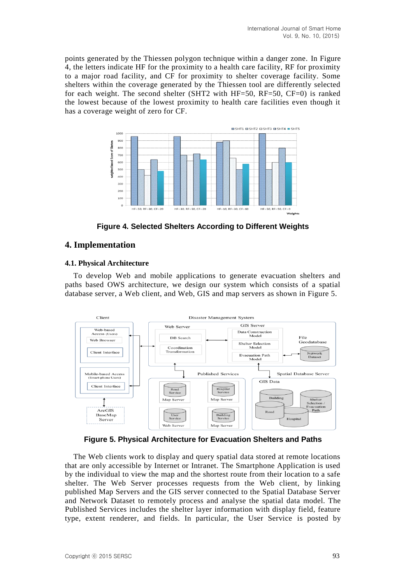points generated by the Thiessen polygon technique within a danger zone. In Figure 4, the letters indicate HF for the proximity to a health care facility, RF for proximity to a major road facility, and CF for proximity to shelter coverage facility. Some shelters within the coverage generated by the Thiessen tool are differently selected for each weight. The second shelter (SHT2 with HF=50, RF=50, CF=0) is ranked the lowest because of the lowest proximity to health care facilities even though it has a coverage weight of zero for CF.



**Figure 4. Selected Shelters According to Different Weights** 

## **4. Implementation**

## **4.1. Physical Architecture**

To develop Web and mobile applications to generate evacuation shelters and paths based OWS architecture, we design our system which consists of a spatial database server, a Web client, and Web, GIS and map servers as shown in Figure 5.



**Figure 5. Physical Architecture for Evacuation Shelters and Paths**

The Web clients work to display and query spatial data stored at remote locations that are only accessible by Internet or Intranet. The Smartphone Application is used by the individual to view the map and the shortest route from their location to a safe shelter. The Web Server processes requests from the Web client, by linking published Map Servers and the GIS server connected to the Spatial Database Server and Network Dataset to remotely process and analyse the spatial data model. The Published Services includes the shelter layer information with display field, feature type, extent renderer, and fields. In particular, the User Service is posted by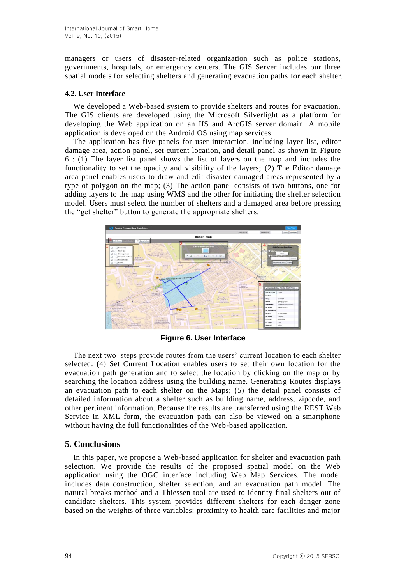managers or users of disaster-related organization such as police stations, governments, hospitals, or emergency centers. The GIS Server includes our three spatial models for selecting shelters and generating evacuation paths for each shelter.

### **4.2. User Interface**

We developed a Web-based system to provide shelters and routes for evacuation. The GIS clients are developed using the Microsoft Silverlight as a platform for developing the Web application on an IIS and ArcGIS server domain. A mobile application is developed on the Android OS using map services.

The application has five panels for user interaction, including layer list, editor damage area, action panel, set current location, and detail panel as shown in Figure 6 : (1) The layer list panel shows the list of layers on the map and includes the functionality to set the opacity and visibility of the layers; (2) The Editor damage area panel enables users to draw and edit disaster damaged areas represented by a type of polygon on the map; (3) The action panel consists of two buttons, one for adding layers to the map using WMS and the other for initiating the shelter selection model. Users must select the number of shelters and a damaged area before pressing the "get shelter" button to generate the appropriate shelters.



**Figure 6. User Interface** 

The next two steps provide routes from the users' current location to each shelter selected: (4) Set Current Location enables users to set their own location for the evacuation path generation and to select the location by clicking on the map or by searching the location address using the building name. Generating Routes displays an evacuation path to each shelter on the Maps; (5) the detail panel consists of detailed information about a shelter such as building name, address, zipcode, and other pertinent information. Because the results are transferred using the REST Web Service in XML form, the evacuation path can also be viewed on a smartphone without having the full functionalities of the Web-based application.

## **5. Conclusions**

In this paper, we propose a Web-based application for shelter and evacuation path selection. We provide the results of the proposed spatial model on the Web application using the OGC interface including Web Map Services. The model includes data construction, shelter selection, and an evacuation path model. The natural breaks method and a Thiessen tool are used to identity final shelters out of candidate shelters. This system provides different shelters for each danger zone based on the weights of three variables: proximity to health care facilities and major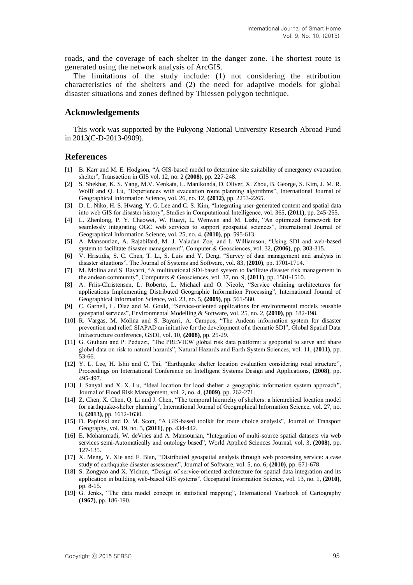roads, and the coverage of each shelter in the danger zone. The shortest route is generated using the network analysis of ArcGIS.

The limitations of the study include: (1) not considering the attribution characteristics of the shelters and (2) the need for adaptive models for global disaster situations and zones defined by Thiessen polygon technique.

#### **Acknowledgements**

This work was supported by the Pukyong National University Research Abroad Fund in 2013(C-D-2013-0909).

#### **References**

- [1] B. Karr and M. E. Hodgson, "A GIS-based model to determine site suitability of emergency evacuation shelter", Transaction in GIS vol. 12, no. 2 **(2008)**, pp. 227-248.
- [2] S. Shekhar, K. S. Yang, M.V. Venkata, L. Manikonda, D. Oliver, X. Zhou, B. George, S. Kim, J. M. R. Wolff and Q. Lu, "Experiences with evacuation route planning algorithms", International Journal of Geographical Information Science, vol. 26, no. 12, **(2012)**, pp. 2253-2265.
- [3] D. L. Niko, H. S. Hwang, Y. G. Lee and C. S. Kim, "Integrating user-generated content and spatial data into web GIS for disaster history", Studies in Computational Intelligence, vol. 365, **(2011)**, pp. 245-255.
- [4] L. Zhenlong, P. Y. Chaowei, W. Huayi, L. Wenwen and M. Lizhi, "An optimized framework for seamlessly integrating OGC web services to support geospatial sciences", International Journal of Geographical Information Science, vol. 25, no. 4, **(2010)**, pp. 595-613.
- [5] A. Mansourian, A. Rajabifard, M. J. Valadan Zoej and I. Williamson, "Using SDI and web-based system to facilitate disaster management", Computer & Geosciences, vol. 32, **(2006)**, pp. 303-315.
- [6] V. Hristidis, S. C. Chen, T. Li, S. Luis and Y. Deng, "Survey of data management and analysis in disaster situations", The Journal of Systems and Software, vol. 83, **(2010)**, pp. 1701-1714.
- [7] M. Molina and S. Bayarri, "A multinational SDI-based system to facilitate disaster risk management in the andean community", Computers & Geosciences, vol. 37, no. 9, **(2011)**, pp. 1501-1510.
- [8] A. Friis-Christensen, L. Roberto, L. Michael and O. Nicole, "Service chaining architectures for applications Implementing Distributed Geographic Information Processing", International Journal of Geographical Information Science, vol. 23, no. 5, **(2009)**, pp. 561-580.
- [9] C. Garnell, L. Diaz and M. Gould, "Service-oriented applications for environmental models reusable geospatial services", Environmental Modelling & Software, vol. 25, no. 2, **(2010)**, pp. 182-198.
- [10] R. Vargas, M. Molina and S. Bayarri, A. Campos, "The Andean information system for disaster prevention and relief: SIAPAD an initiative for the development of a thematic SDI", Global Spatial Data Infrastructure conference, GSDI, vol. 10, **(2008)**, pp. 25-29.
- [11] G. Giuliani and P. Peduzzi, "The PREVIEW global risk data platform: a geoportal to serve and share global data on risk to natural hazards", Natural Hazards and Earth System Sciences, vol. 11, **(2011)**, pp. 53-66.
- [12] Y. L. Lee, H. Ishii and C. Tai, "Earthquake shelter location evaluation considering road structure", Proceedings on International Conference on Intelligent Systems Design and Applications, **(2008)**, pp. 495-497.
- [13] J. Sanyal and X. X. Lu, "Ideal location for lood shelter: a geographic information system approach", Journal of Flood Risk Management, vol. 2, no. 4, **(2009)**, pp. 262-271.
- [14] Z. Chen, X. Chen, Q. Li and J. Chen, "The temporal hierarchy of shelters: a hierarchical location model for earthquake-shelter planning", International Journal of Geographical Information Science, vol. 27, no. 8, **(2013)**, pp. 1612-1630.
- [15] D. Papinski and D. M. Scott, "A GIS-based toolkit for route choice analysis", Journal of Transport Geography, vol. 19, no. 3, **(2011)**, pp. 434-442.
- [16] E. Mohammadi, W. deVries and A. Mansourian, "Integration of multi-source spatial datasets via web services semi-Automatically and ontology based", World Applied Sciences Journal, vol. 3, **(2008)**, pp. 127-135.
- [17] X. Meng, Y. Xie and F. Bian, "Distributed geospatial analysis through web processing service: a case study of earthquake disaster assessment", Journal of Software, vol. 5, no. 6, **(2010)**, pp. 671-678.
- [18] S. Zongyao and X. Yichun, "Design of service-oriented architecture for spatial data integration and its application in building web-based GIS systems", Geospatial Information Science, vol. 13, no. 1, **(2010)**, pp. 8-15.
- [19] G. Jenks, "The data model concept in statistical mapping", International Yearbook of Cartography **(1967)**, pp. 186-190.